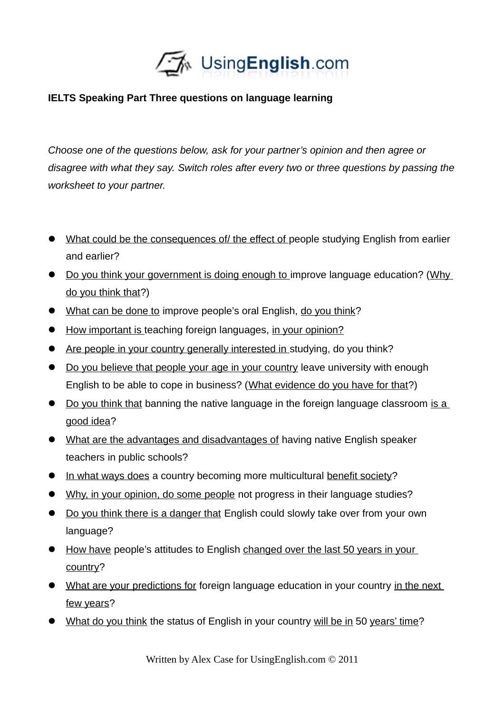

## **IELTS Speaking Part Three questions on language learning**

*Choose one of the questions below, ask for your partner's opinion and then agree or disagree with what they say. Switch roles after every two or three questions by passing the worksheet to your partner.* 

- What could be the consequences of/ the effect of people studying English from earlier and earlier?
- Do you think your government is doing enough to improve language education? (Why do you think that?)
- What can be done to improve people's oral English, do you think?
- How important is teaching foreign languages, in your opinion?
- Are people in your country generally interested in studying, do you think?
- Do you believe that people your age in your country leave university with enough English to be able to cope in business? (What evidence do you have for that?)
- Do you think that banning the native language in the foreign language classroom is a good idea?
- What are the advantages and disadvantages of having native English speaker teachers in public schools?
- In what ways does a country becoming more multicultural benefit society?
- Why, in your opinion, do some people not progress in their language studies?
- Do you think there is a danger that English could slowly take over from your own language?
- How have people's attitudes to English changed over the last 50 years in your country?
- What are your predictions for foreign language education in your country in the next few years?
- What do you think the status of English in your country will be in 50 years' time?

Written by Alex Case for UsingEnglish.com © 2011